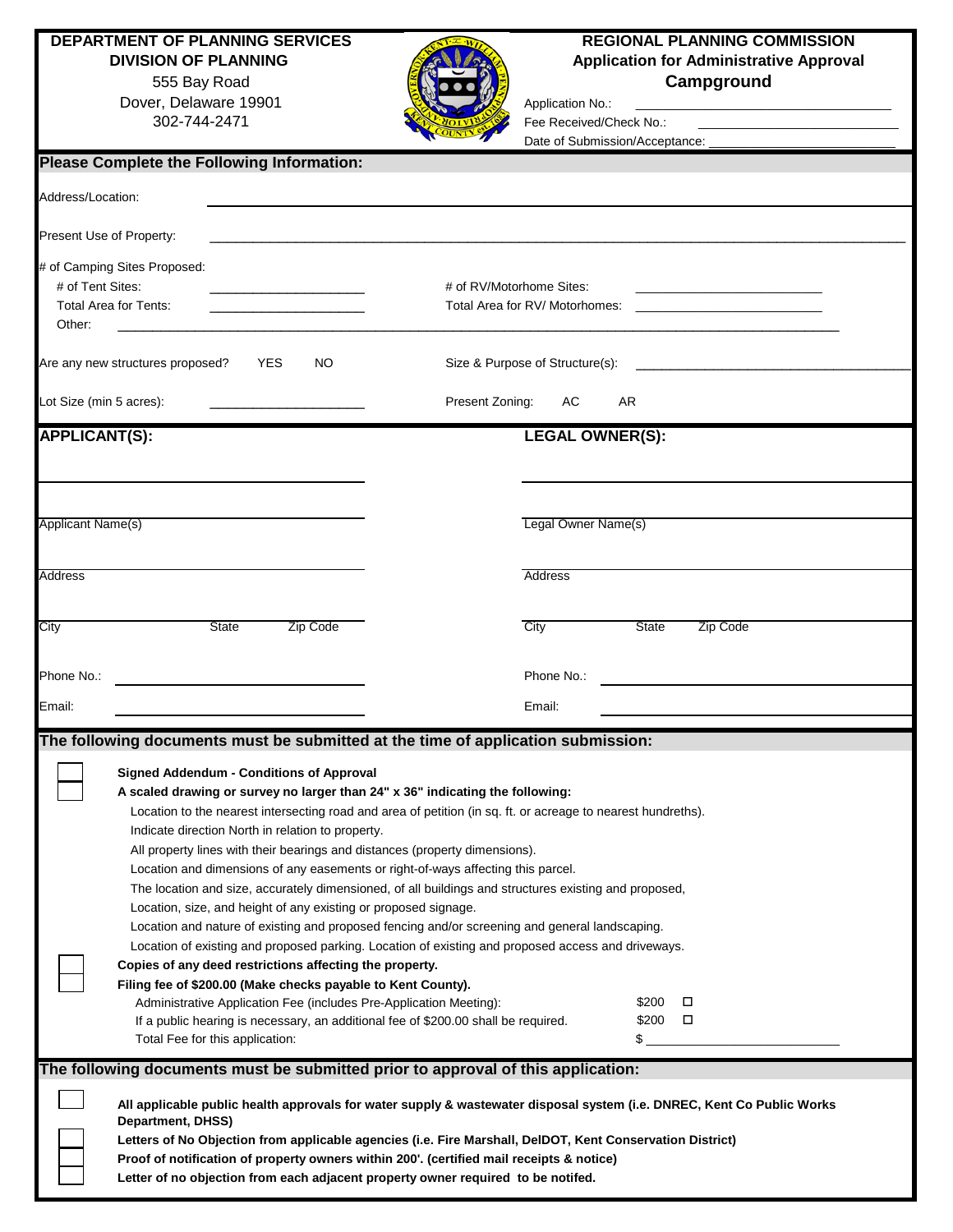555 Bay Road Dover, Delaware 19901 Application No.: \_\_\_\_\_\_\_\_\_\_\_\_\_\_\_\_\_\_\_\_\_\_\_\_\_\_\_\_\_\_\_\_\_\_\_\_\_



## **DEPARTMENT OF PLANNING SERVICES**<br>DIVISION OF PLANNING **REGIONAL PLANNING COMMISSION Application for Administrative Approval Campground**

Fee Received/Check No.: Date of Submission/Acceptance:

| <b>Please Complete the Following Information:</b>                                                                                                                                                                                                                                                                                                                                                                                                                                                                                                                                                                                                                                                                                                                                                                                                                                                                                                                                                                                                                                                                                                                                                                          |                                                            |  |  |
|----------------------------------------------------------------------------------------------------------------------------------------------------------------------------------------------------------------------------------------------------------------------------------------------------------------------------------------------------------------------------------------------------------------------------------------------------------------------------------------------------------------------------------------------------------------------------------------------------------------------------------------------------------------------------------------------------------------------------------------------------------------------------------------------------------------------------------------------------------------------------------------------------------------------------------------------------------------------------------------------------------------------------------------------------------------------------------------------------------------------------------------------------------------------------------------------------------------------------|------------------------------------------------------------|--|--|
| Address/Location:                                                                                                                                                                                                                                                                                                                                                                                                                                                                                                                                                                                                                                                                                                                                                                                                                                                                                                                                                                                                                                                                                                                                                                                                          |                                                            |  |  |
| Present Use of Property:                                                                                                                                                                                                                                                                                                                                                                                                                                                                                                                                                                                                                                                                                                                                                                                                                                                                                                                                                                                                                                                                                                                                                                                                   |                                                            |  |  |
| # of Camping Sites Proposed:<br># of Tent Sites:<br><b>Total Area for Tents:</b><br>Other:                                                                                                                                                                                                                                                                                                                                                                                                                                                                                                                                                                                                                                                                                                                                                                                                                                                                                                                                                                                                                                                                                                                                 | # of RV/Motorhome Sites:<br>Total Area for RV/ Motorhomes: |  |  |
| Are any new structures proposed?<br>YES<br>NO.                                                                                                                                                                                                                                                                                                                                                                                                                                                                                                                                                                                                                                                                                                                                                                                                                                                                                                                                                                                                                                                                                                                                                                             | Size & Purpose of Structure(s):                            |  |  |
| Lot Size (min 5 acres):                                                                                                                                                                                                                                                                                                                                                                                                                                                                                                                                                                                                                                                                                                                                                                                                                                                                                                                                                                                                                                                                                                                                                                                                    | Present Zoning:<br>AR<br>AC.                               |  |  |
| <b>APPLICANT(S):</b>                                                                                                                                                                                                                                                                                                                                                                                                                                                                                                                                                                                                                                                                                                                                                                                                                                                                                                                                                                                                                                                                                                                                                                                                       | <b>LEGAL OWNER(S):</b>                                     |  |  |
| Applicant Name(s)                                                                                                                                                                                                                                                                                                                                                                                                                                                                                                                                                                                                                                                                                                                                                                                                                                                                                                                                                                                                                                                                                                                                                                                                          | Legal Owner Name(s)                                        |  |  |
| Address                                                                                                                                                                                                                                                                                                                                                                                                                                                                                                                                                                                                                                                                                                                                                                                                                                                                                                                                                                                                                                                                                                                                                                                                                    | Address                                                    |  |  |
| <b>State</b><br>Zip Code<br>City                                                                                                                                                                                                                                                                                                                                                                                                                                                                                                                                                                                                                                                                                                                                                                                                                                                                                                                                                                                                                                                                                                                                                                                           | City<br>State<br>Zip Code                                  |  |  |
| Phone No.:                                                                                                                                                                                                                                                                                                                                                                                                                                                                                                                                                                                                                                                                                                                                                                                                                                                                                                                                                                                                                                                                                                                                                                                                                 | Phone No.:                                                 |  |  |
| Email:                                                                                                                                                                                                                                                                                                                                                                                                                                                                                                                                                                                                                                                                                                                                                                                                                                                                                                                                                                                                                                                                                                                                                                                                                     | Email:                                                     |  |  |
| The following documents must be submitted at the time of application submission:                                                                                                                                                                                                                                                                                                                                                                                                                                                                                                                                                                                                                                                                                                                                                                                                                                                                                                                                                                                                                                                                                                                                           |                                                            |  |  |
| <b>Signed Addendum - Conditions of Approval</b><br>A scaled drawing or survey no larger than 24" x 36" indicating the following:<br>Location to the nearest intersecting road and area of petition (in sq. ft. or acreage to nearest hundreths).<br>Indicate direction North in relation to property.<br>All property lines with their bearings and distances (property dimensions).<br>Location and dimensions of any easements or right-of-ways affecting this parcel.<br>The location and size, accurately dimensioned, of all buildings and structures existing and proposed,<br>Location, size, and height of any existing or proposed signage.<br>Location and nature of existing and proposed fencing and/or screening and general landscaping.<br>Location of existing and proposed parking. Location of existing and proposed access and driveways.<br>Copies of any deed restrictions affecting the property.<br>Filing fee of \$200.00 (Make checks payable to Kent County).<br>Administrative Application Fee (includes Pre-Application Meeting):<br>\$200 □<br>\$200<br>$\Box$<br>If a public hearing is necessary, an additional fee of \$200.00 shall be required.<br>\$<br>Total Fee for this application: |                                                            |  |  |
| The following documents must be submitted prior to approval of this application:                                                                                                                                                                                                                                                                                                                                                                                                                                                                                                                                                                                                                                                                                                                                                                                                                                                                                                                                                                                                                                                                                                                                           |                                                            |  |  |
| All applicable public health approvals for water supply & wastewater disposal system (i.e. DNREC, Kent Co Public Works<br>Department, DHSS)<br>Letters of No Objection from applicable agencies (i.e. Fire Marshall, DelDOT, Kent Conservation District)<br>Proof of notification of property owners within 200'. (certified mail receipts & notice)<br>Letter of no objection from each adjacent property owner required to be notifed.                                                                                                                                                                                                                                                                                                                                                                                                                                                                                                                                                                                                                                                                                                                                                                                   |                                                            |  |  |